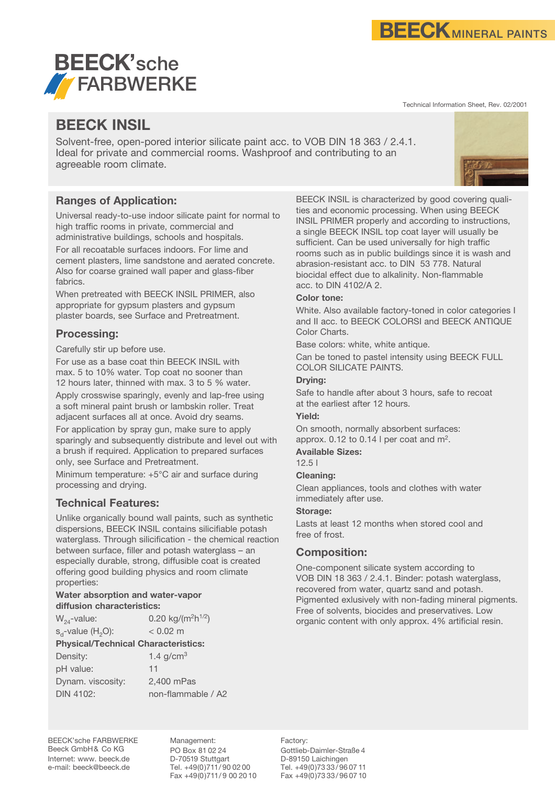

Technical Information Sheet, Rev. 02/2001



# **BEECK INSIL**

Solvent-free, open-pored interior silicate paint acc. to VOB DIN 18 363 / 2.4.1. Ideal for private and commercial rooms. Washproof and contributing to an agreeable room climate.

## **Ranges of Application:**

Universal ready-to-use indoor silicate paint for normal to high traffic rooms in private, commercial and administrative buildings, schools and hospitals.

For all recoatable surfaces indoors. For lime and cement plasters, lime sandstone and aerated concrete. Also for coarse grained wall paper and glass-fiber fabrics.

When pretreated with BEECK INSIL PRIMER, also appropriate for gypsum plasters and gypsum plaster boards, see Surface and Pretreatment.

## **Processing:**

Carefully stir up before use.

For use as a base coat thin BEECK INSIL with max. 5 to 10% water. Top coat no sooner than 12 hours later, thinned with max. 3 to 5 % water.

Apply crosswise sparingly, evenly and lap-free using a soft mineral paint brush or lambskin roller. Treat adjacent surfaces all at once. Avoid dry seams.

For application by spray gun, make sure to apply sparingly and subsequently distribute and level out with a brush if required. Application to prepared surfaces only, see Surface and Pretreatment.

Minimum temperature: +5°C air and surface during processing and drying.

## **Technical Features:**

Unlike organically bound wall paints, such as synthetic dispersions, BEECK INSIL contains silicifiable potash waterglass. Through silicification - the chemical reaction between surface, filler and potash waterglass – an especially durable, strong, diffusible coat is created offering good building physics and room climate properties:

#### **Water absorption and water-vapor diffusion characteristics:**

 $W_{24}$ -value: 0.20 kg/(m<sup>2</sup>h<sup>1/2</sup>)

 $s_a$ -value (H<sub>2</sub>O):  $\leq 0.02$  m

**Physical/Technical Characteristics:**

| 1.4 $g/cm3$        |
|--------------------|
| 11                 |
| 2,400 mPas         |
| non-flammable / A2 |
|                    |

BEECK INSIL is characterized by good covering qualities and economic processing. When using BEECK INSIL PRIMER properly and according to instructions, a single BEECK INSIL top coat layer will usually be sufficient. Can be used universally for high traffic rooms such as in public buildings since it is wash and abrasion-resistant acc. to DIN 53 778. Natural biocidal effect due to alkalinity. Non-flammable acc. to DIN 4102/A 2.

## **Color tone:**

White. Also available factory-toned in color categories I and II acc. to BEECK COLORSI and BEECK ANTIQUE Color Charts.

Base colors: white, white antique.

Can be toned to pastel intensity using BEECK FULL COLOR SILICATE PAINTS.

## **Drying:**

Safe to handle after about 3 hours, safe to recoat at the earliest after 12 hours.

## **Yield:**

On smooth, normally absorbent surfaces: approx. 0.12 to 0.14 l per coat and  $m^2$ .

## **Available Sizes:**

12.5 l

## **Cleaning:**

Clean appliances, tools and clothes with water immediately after use.

## **Storage:**

Lasts at least 12 months when stored cool and free of frost.

## **Composition:**

One-component silicate system according to VOB DIN 18 363 / 2.4.1. Binder: potash waterglass, recovered from water, quartz sand and potash. Pigmented exlusively with non-fading mineral pigments. Free of solvents, biocides and preservatives. Low organic content with only approx. 4% artificial resin.

BEECK'sche FARBWERKE Beeck GmbH& Co KG Internet: www. beeck.de e-mail: beeck@beeck.de

Management: PO Box 81 02 24 D-70519 Stuttgart Tel. +49(0)711/ 90 02 00 Fax +49(0)711/9 00 20 10 Factory: Gottlieb-Daimler-Straße 4 D-89150 Laichingen Tel. +49(0)73 33/ 96 07 11 Fax +49(0)73 33/ 96 07 10